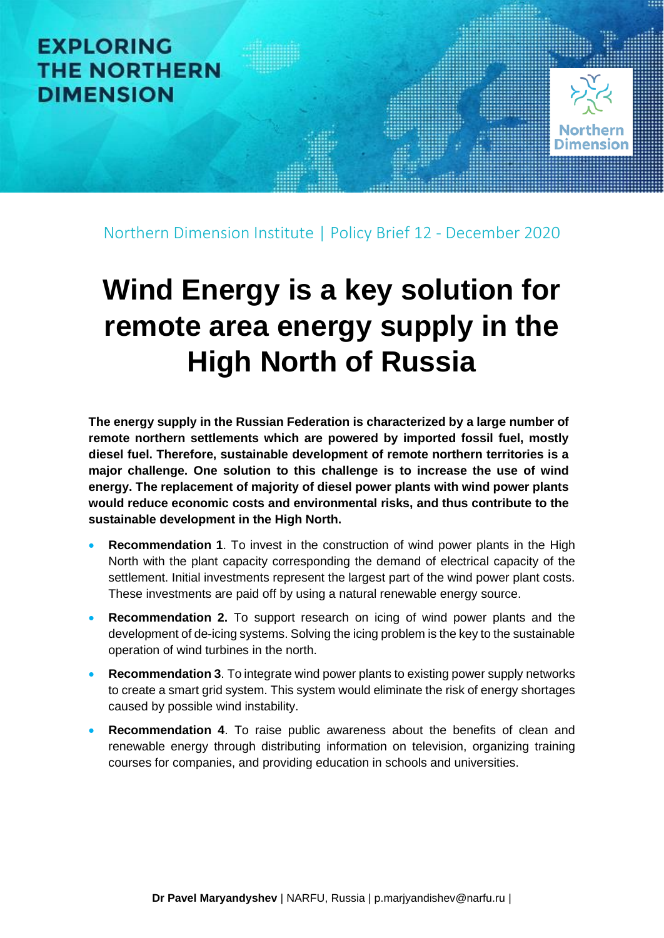

Northern Dimension Institute | Policy Brief 12 - December 2020

# **Wind Energy is a key solution for remote area energy supply in the High North of Russia**

**The energy supply in the Russian Federation is characterized by a large number of remote northern settlements which are powered by imported fossil fuel, mostly diesel fuel. Therefore, sustainable development of remote northern territories is a major challenge. One solution to this challenge is to increase the use of wind energy. The replacement of majority of diesel power plants with wind power plants would reduce economic costs and environmental risks, and thus contribute to the sustainable development in the High North.**

- **Recommendation 1.** To invest in the construction of wind power plants in the High North with the plant capacity corresponding the demand of electrical capacity of the settlement. Initial investments represent the largest part of the wind power plant costs. These investments are paid off by using a natural renewable energy source.
- **Recommendation 2.** To support research on icing of wind power plants and the development of de-icing systems. Solving the icing problem is the key to the sustainable operation of wind turbines in the north.
- **Recommendation 3**. To integrate wind power plants to existing power supply networks to create a smart grid system. This system would eliminate the risk of energy shortages caused by possible wind instability.
- **Recommendation 4**. To raise public awareness about the benefits of clean and renewable energy through distributing information on television, organizing training courses for companies, and providing education in schools and universities.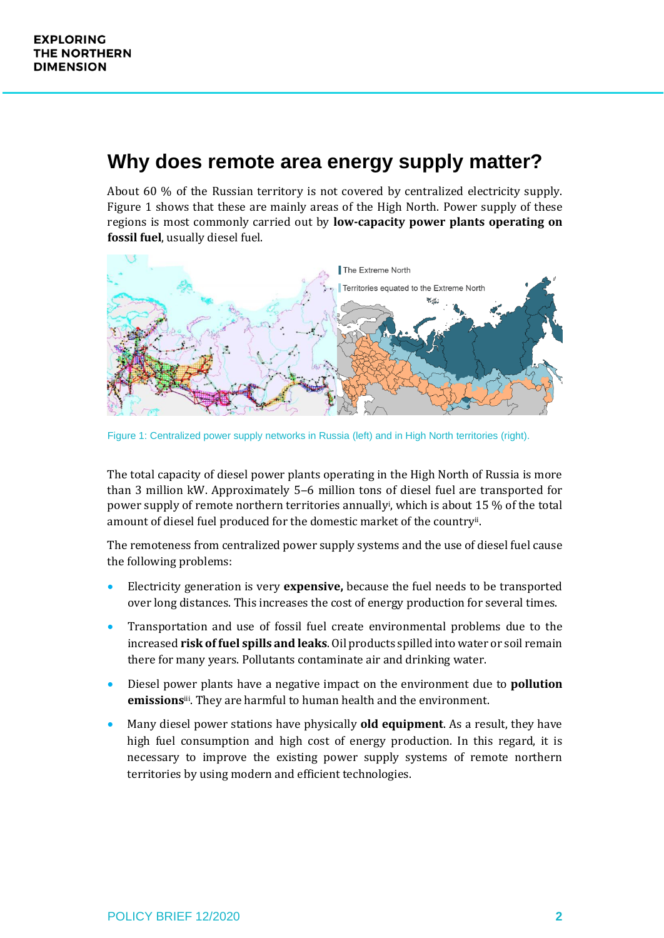#### **Why does remote area energy supply matter?**

About 60 % of the Russian territory is not covered by centralized electricity supply. Figure 1 shows that these are mainly areas of the High North. Power supply of these regions is most commonly carried out by **low-capacity power plants operating on fossil fuel**, usually diesel fuel.



Figure 1: Centralized power supply networks in Russia (left) and in High North territories (right).

The total capacity of diesel power plants operating in the High North of Russia is more than 3 million kW. Approximately 5–6 million tons of diesel fuel are transported for power supply of remote northern territories annually<sup>i</sup>, which is about 15 % of the total amount of diesel fuel produced for the domestic market of the country<sup>ii</sup>.

The remoteness from centralized power supply systems and the use of diesel fuel cause the following problems:

- Electricity generation is very **expensive,** because the fuel needs to be transported over long distances. This increases the cost of energy production for several times.
- Transportation and use of fossil fuel create environmental problems due to the increased **risk of fuel spills and leaks**. Oil products spilled into water or soil remain there for many years. Pollutants contaminate air and drinking water.
- Diesel power plants have a negative impact on the environment due to **pollution emissions**iii . They are harmful to human health and the environment.
- Many diesel power stations have physically **old equipment**. As a result, they have high fuel consumption and high cost of energy production. In this regard, it is necessary to improve the existing power supply systems of remote northern territories by using modern and efficient technologies.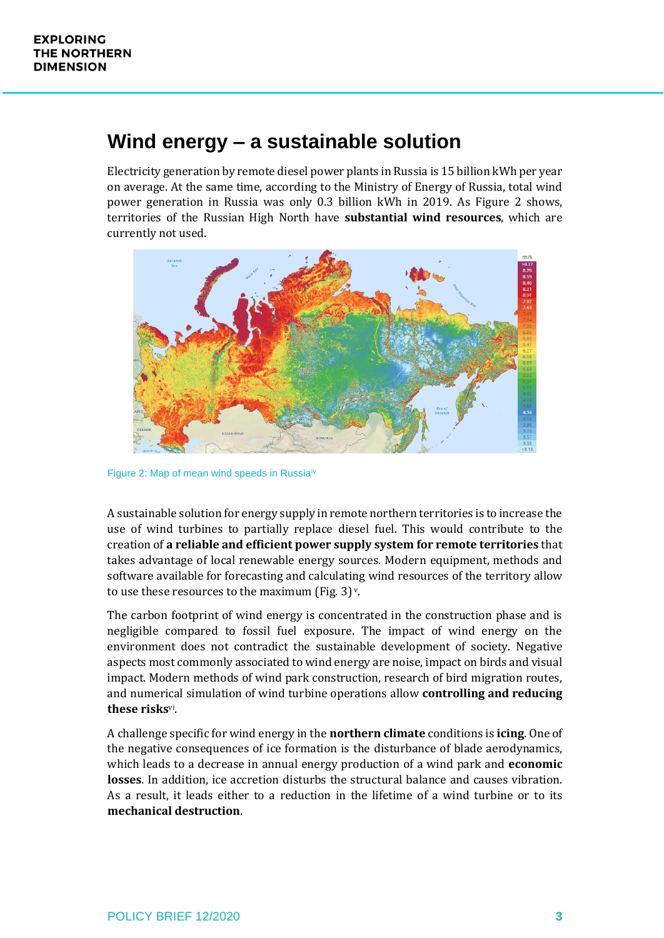### **Wind energy ‒ a sustainable solution**

Electricity generation by remote diesel power plants in Russia is 15 billion kWh per year on average. At the same time, according to the Ministry of Energy of Russia, total wind power generation in Russia was only 0.3 billion kWh in 2019. As Figure 2 shows, territories of the Russian High North have **substantial wind resources**, which are currently not used.



Figure 2: Map of mean wind speeds in Russia<sup>iv</sup>

A sustainable solution for energy supply in remote northern territories is to increase the use of wind turbines to partially replace diesel fuel. This would contribute to the creation of **a reliable and efficient power supply system for remote territories** that takes advantage of local renewable energy sources. Modern equipment, methods and software available for forecasting and calculating wind resources of the territory allow to use these resources to the maximum (Fig. 3) $v$ .

The carbon footprint of wind energy is concentrated in the construction phase and is negligible compared to fossil fuel exposure. The impact of wind energy on the environment does not contradict the sustainable development of society. Negative aspects most commonly associated to wind energy are noise, impact on birds and visual impact. Modern methods of wind park construction, research of bird migration routes, and numerical simulation of wind turbine operations allow **controlling and reducing these risks**vi .

A challenge specific for wind energy in the **northern climate** conditions is **icing**. One of the negative consequences of ice formation is the disturbance of blade aerodynamics, which leads to a decrease in annual energy production of a wind park and **economic losses**. In addition, ice accretion disturbs the structural balance and causes vibration. As a result, it leads either to a reduction in the lifetime of a wind turbine or to its **mechanical destruction**.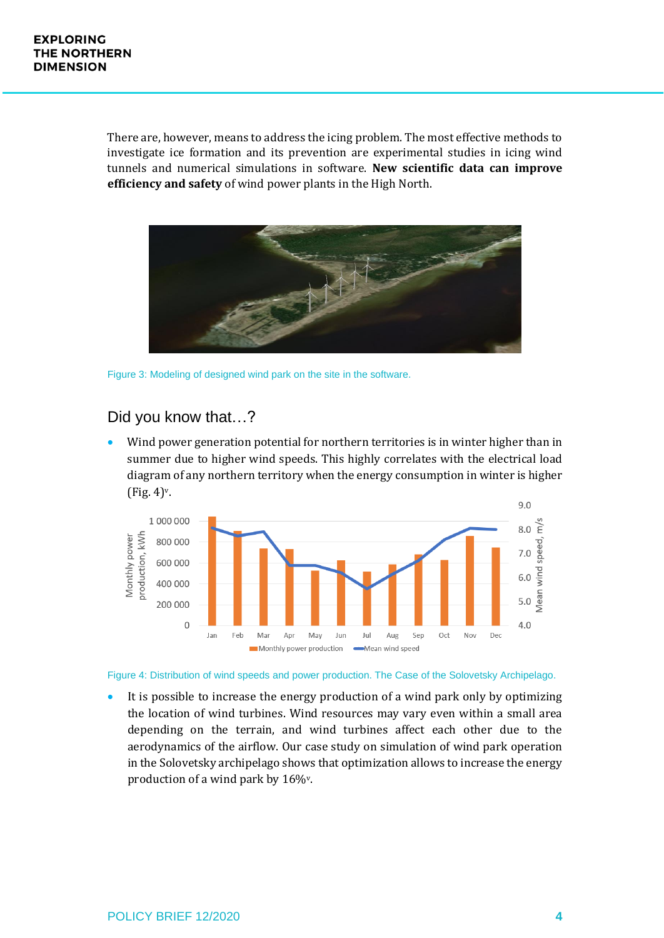There are, however, means to address the icing problem. The most effective methods to investigate ice formation and its prevention are experimental studies in icing wind tunnels and numerical simulations in software. **New scientific data can improve efficiency and safety** of wind power plants in the High North.



Figure 3: Modeling of designed wind park on the site in the software.

#### Did you know that…?

• Wind power generation potential for northern territories is in winter higher than in summer due to higher wind speeds. This highly correlates with the electrical load diagram of any northern territory when the energy consumption in winter is higher (Fig. 4) v.



Figure 4: Distribution of wind speeds and power production. The Case of the Solovetsky Archipelago.

It is possible to increase the energy production of a wind park only by optimizing the location of wind turbines. Wind resources may vary even within a small area depending on the terrain, and wind turbines affect each other due to the aerodynamics of the airflow. Our case study on simulation of wind park operation in the Solovetsky archipelago shows that optimization allows to increase the energy production of a wind park by 16%v.